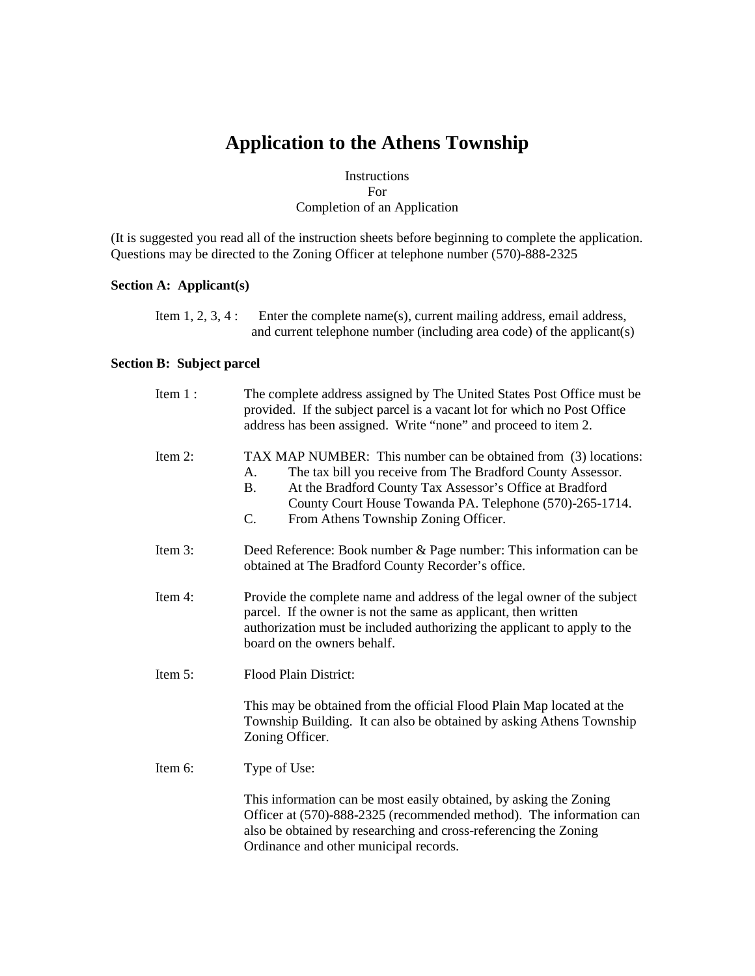# **Application to the Athens Township**

## Instructions For Completion of an Application

(It is suggested you read all of the instruction sheets before beginning to complete the application. Questions may be directed to the Zoning Officer at telephone number (570)-888-2325

## **Section A: Applicant(s)**

| Item 1, 2, 3, 4 : | Enter the complete name(s), current mailing address, email address,    |
|-------------------|------------------------------------------------------------------------|
|                   | and current telephone number (including area code) of the applicant(s) |

## **Section B: Subject parcel**

| Item $1$ : | The complete address assigned by The United States Post Office must be<br>provided. If the subject parcel is a vacant lot for which no Post Office<br>address has been assigned. Write "none" and proceed to item 2.                                                                                                    |  |  |  |
|------------|-------------------------------------------------------------------------------------------------------------------------------------------------------------------------------------------------------------------------------------------------------------------------------------------------------------------------|--|--|--|
| Item 2:    | TAX MAP NUMBER: This number can be obtained from (3) locations:<br>The tax bill you receive from The Bradford County Assessor.<br>A.<br>At the Bradford County Tax Assessor's Office at Bradford<br><b>B.</b><br>County Court House Towanda PA. Telephone (570)-265-1714.<br>C.<br>From Athens Township Zoning Officer. |  |  |  |
| Item 3:    | Deed Reference: Book number & Page number: This information can be<br>obtained at The Bradford County Recorder's office.                                                                                                                                                                                                |  |  |  |
| Item 4:    | Provide the complete name and address of the legal owner of the subject<br>parcel. If the owner is not the same as applicant, then written<br>authorization must be included authorizing the applicant to apply to the<br>board on the owners behalf.                                                                   |  |  |  |
| Item 5:    | Flood Plain District:                                                                                                                                                                                                                                                                                                   |  |  |  |
|            | This may be obtained from the official Flood Plain Map located at the<br>Township Building. It can also be obtained by asking Athens Township<br>Zoning Officer.                                                                                                                                                        |  |  |  |
| Item 6:    | Type of Use:                                                                                                                                                                                                                                                                                                            |  |  |  |
|            | This information can be most easily obtained, by asking the Zoning<br>Officer at (570)-888-2325 (recommended method). The information can<br>also be obtained by researching and cross-referencing the Zoning<br>Ordinance and other municipal records.                                                                 |  |  |  |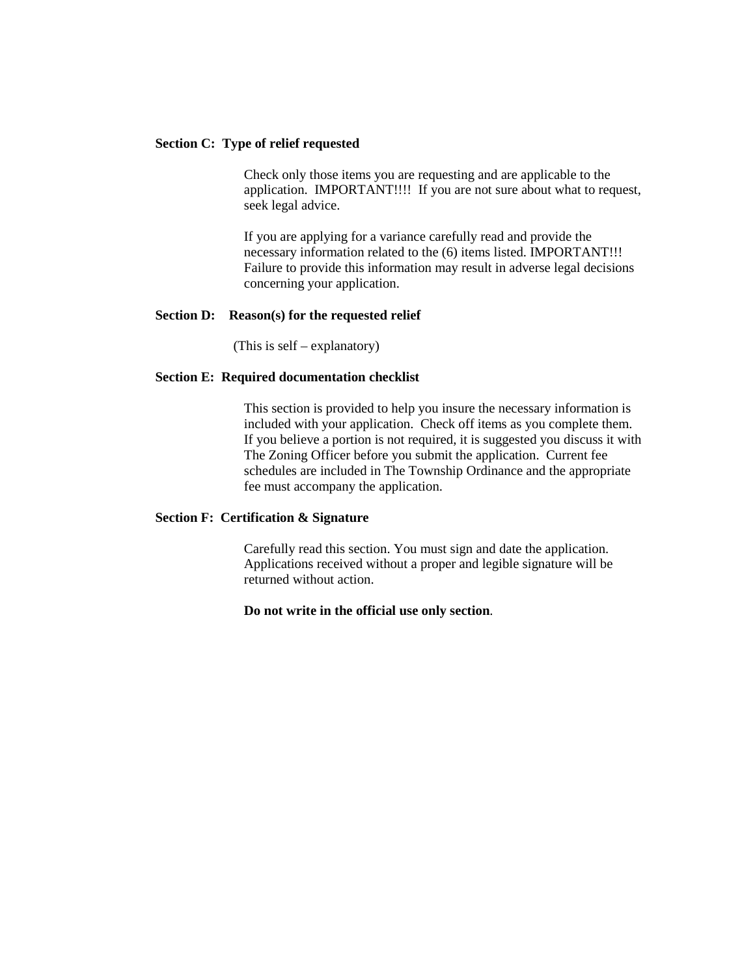#### **Section C: Type of relief requested**

Check only those items you are requesting and are applicable to the application. IMPORTANT!!!! If you are not sure about what to request, seek legal advice.

 If you are applying for a variance carefully read and provide the necessary information related to the (6) items listed. IMPORTANT!!! Failure to provide this information may result in adverse legal decisions concerning your application.

#### **Section D: Reason(s) for the requested relief**

(This is self – explanatory)

#### **Section E: Required documentation checklist**

This section is provided to help you insure the necessary information is included with your application. Check off items as you complete them. If you believe a portion is not required, it is suggested you discuss it with The Zoning Officer before you submit the application. Current fee schedules are included in The Township Ordinance and the appropriate fee must accompany the application.

#### **Section F: Certification & Signature**

Carefully read this section. You must sign and date the application. Applications received without a proper and legible signature will be returned without action.

#### **Do not write in the official use only section**.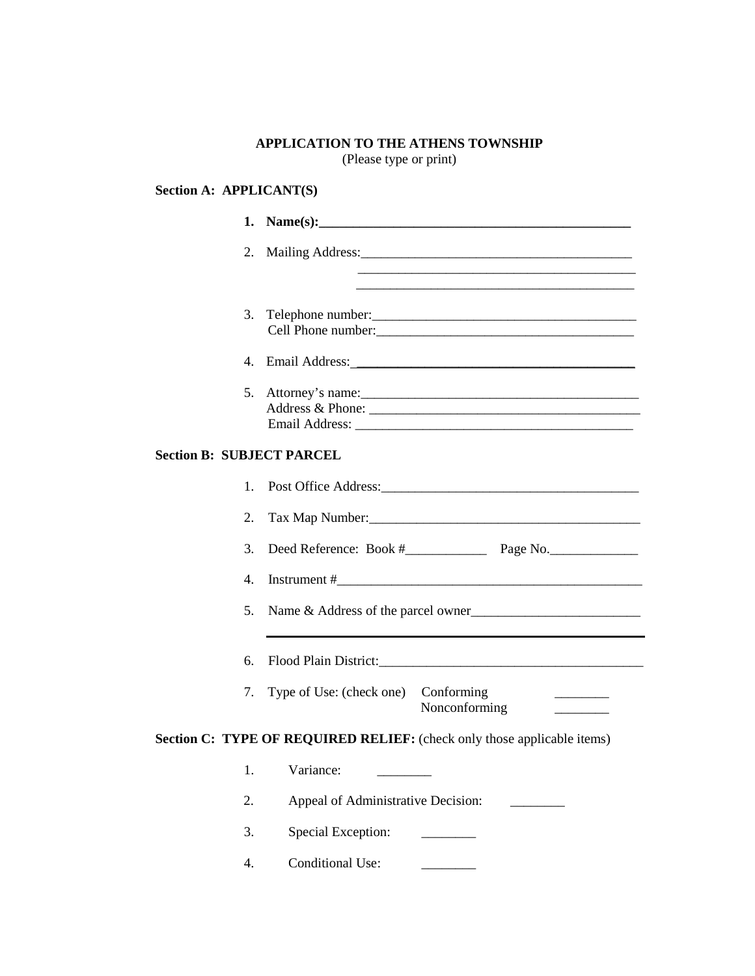# **APPLICATION TO THE ATHENS TOWNSHIP**

(Please type or print)

## **Section A: APPLICANT(S)**

|                                  | 2.      |                                                                         |
|----------------------------------|---------|-------------------------------------------------------------------------|
|                                  |         |                                                                         |
|                                  | 3.      |                                                                         |
|                                  |         |                                                                         |
|                                  |         | Address & Phone:                                                        |
| <b>Section B: SUBJECT PARCEL</b> |         |                                                                         |
|                                  | $1_{-}$ |                                                                         |
|                                  | 2.      |                                                                         |
|                                  | 3.      |                                                                         |
|                                  | 4.      |                                                                         |
|                                  | 5.      | Name & Address of the parcel owner                                      |
|                                  | 6.      |                                                                         |
|                                  | 7.      | Type of Use: (check one) Conforming<br>Nonconforming                    |
|                                  |         | Section C: TYPE OF REQUIRED RELIEF: (check only those applicable items) |
|                                  | 1.      | Variance:                                                               |
|                                  | 2.      | Appeal of Administrative Decision:                                      |
|                                  | 3.      | Special Exception:                                                      |
|                                  | 4.      | <b>Conditional Use:</b>                                                 |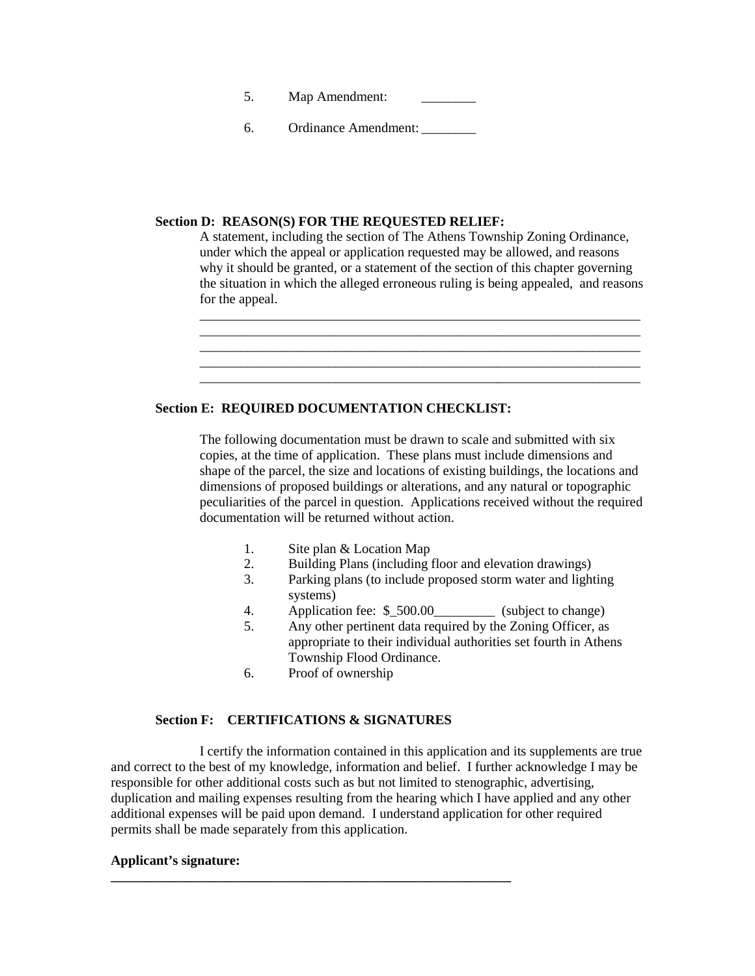5. Map Amendment:

6. Ordinance Amendment: \_\_\_\_\_\_\_\_

### **Section D: REASON(S) FOR THE REQUESTED RELIEF:**

A statement, including the section of The Athens Township Zoning Ordinance, under which the appeal or application requested may be allowed, and reasons why it should be granted, or a statement of the section of this chapter governing the situation in which the alleged erroneous ruling is being appealed, and reasons for the appeal.



## **Section E: REQUIRED DOCUMENTATION CHECKLIST:**

The following documentation must be drawn to scale and submitted with six copies, at the time of application. These plans must include dimensions and shape of the parcel, the size and locations of existing buildings, the locations and dimensions of proposed buildings or alterations, and any natural or topographic peculiarities of the parcel in question. Applications received without the required documentation will be returned without action.

- 1. Site plan & Location Map
- 2. Building Plans (including floor and elevation drawings)
- 3. Parking plans (to include proposed storm water and lighting systems)
- 4. Application fee: \$ 500.00 (subject to change)
- 5. Any other pertinent data required by the Zoning Officer, as appropriate to their individual authorities set fourth in Athens Township Flood Ordinance.
- 6. Proof of ownership

### **Section F: CERTIFICATIONS & SIGNATURES**

**\_\_\_\_\_\_\_\_\_\_\_\_\_\_\_\_\_\_\_\_\_\_\_\_\_\_\_\_\_\_\_\_\_\_\_\_\_\_\_\_\_\_\_\_\_\_\_\_\_\_\_\_\_\_\_\_\_\_\_** 

I certify the information contained in this application and its supplements are true and correct to the best of my knowledge, information and belief. I further acknowledge I may be responsible for other additional costs such as but not limited to stenographic, advertising, duplication and mailing expenses resulting from the hearing which I have applied and any other additional expenses will be paid upon demand. I understand application for other required permits shall be made separately from this application.

#### **Applicant's signature:**